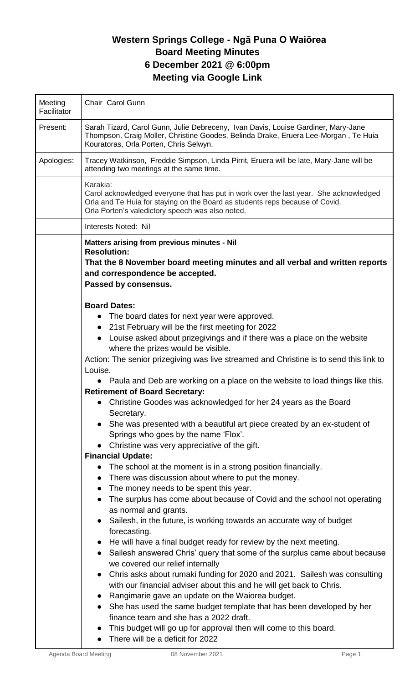# **Western Springs College - Ngā Puna O Waiōrea Board Meeting Minutes 6 December 2021 @ 6:00pm Meeting via Google Link**

| Meeting<br>Facilitator | Chair Carol Gunn                                                                                                                                                                                                                                                                                                                                                                                                                                                                                                                                                                                                                                                                                                                                                                                                                                                                                                                                                                                                                                                                                                                                                                                                                                                                                                                                                                                                                                                                                                                                                                                                                                                                                                                                                                                                      |
|------------------------|-----------------------------------------------------------------------------------------------------------------------------------------------------------------------------------------------------------------------------------------------------------------------------------------------------------------------------------------------------------------------------------------------------------------------------------------------------------------------------------------------------------------------------------------------------------------------------------------------------------------------------------------------------------------------------------------------------------------------------------------------------------------------------------------------------------------------------------------------------------------------------------------------------------------------------------------------------------------------------------------------------------------------------------------------------------------------------------------------------------------------------------------------------------------------------------------------------------------------------------------------------------------------------------------------------------------------------------------------------------------------------------------------------------------------------------------------------------------------------------------------------------------------------------------------------------------------------------------------------------------------------------------------------------------------------------------------------------------------------------------------------------------------------------------------------------------------|
| Present:               | Sarah Tizard, Carol Gunn, Julie Debreceny, Ivan Davis, Louise Gardiner, Mary-Jane<br>Thompson, Craig Moller, Christine Goodes, Belinda Drake, Eruera Lee-Morgan, Te Huia<br>Kouratoras, Orla Porten, Chris Selwyn.                                                                                                                                                                                                                                                                                                                                                                                                                                                                                                                                                                                                                                                                                                                                                                                                                                                                                                                                                                                                                                                                                                                                                                                                                                                                                                                                                                                                                                                                                                                                                                                                    |
| Apologies:             | Tracey Watkinson, Freddie Simpson, Linda Pirrit, Eruera will be late, Mary-Jane will be<br>attending two meetings at the same time.                                                                                                                                                                                                                                                                                                                                                                                                                                                                                                                                                                                                                                                                                                                                                                                                                                                                                                                                                                                                                                                                                                                                                                                                                                                                                                                                                                                                                                                                                                                                                                                                                                                                                   |
|                        | Karakia:<br>Carol acknowledged everyone that has put in work over the last year. She acknowledged<br>Orla and Te Huia for staying on the Board as students reps because of Covid.<br>Orla Porten's valedictory speech was also noted.                                                                                                                                                                                                                                                                                                                                                                                                                                                                                                                                                                                                                                                                                                                                                                                                                                                                                                                                                                                                                                                                                                                                                                                                                                                                                                                                                                                                                                                                                                                                                                                 |
|                        | Interests Noted: Nil                                                                                                                                                                                                                                                                                                                                                                                                                                                                                                                                                                                                                                                                                                                                                                                                                                                                                                                                                                                                                                                                                                                                                                                                                                                                                                                                                                                                                                                                                                                                                                                                                                                                                                                                                                                                  |
|                        | Matters arising from previous minutes - Nil<br><b>Resolution:</b><br>That the 8 November board meeting minutes and all verbal and written reports<br>and correspondence be accepted.<br>Passed by consensus.                                                                                                                                                                                                                                                                                                                                                                                                                                                                                                                                                                                                                                                                                                                                                                                                                                                                                                                                                                                                                                                                                                                                                                                                                                                                                                                                                                                                                                                                                                                                                                                                          |
|                        | <b>Board Dates:</b><br>• The board dates for next year were approved.<br>• 21st February will be the first meeting for 2022<br>Louise asked about prizegivings and if there was a place on the website<br>where the prizes would be visible.<br>Action: The senior prizegiving was live streamed and Christine is to send this link to<br>Louise.<br>Paula and Deb are working on a place on the website to load things like this.<br>$\bullet$<br><b>Retirement of Board Secretary:</b><br>Christine Goodes was acknowledged for her 24 years as the Board<br>$\bullet$<br>Secretary.<br>She was presented with a beautiful art piece created by an ex-student of<br>Springs who goes by the name 'Flox'.<br>Christine was very appreciative of the gift.<br><b>Financial Update:</b><br>The school at the moment is in a strong position financially.<br>$\bullet$<br>There was discussion about where to put the money.<br>$\bullet$<br>The money needs to be spent this year.<br>The surplus has come about because of Covid and the school not operating<br>$\bullet$<br>as normal and grants.<br>Sailesh, in the future, is working towards an accurate way of budget<br>forecasting.<br>He will have a final budget ready for review by the next meeting.<br>Sailesh answered Chris' query that some of the surplus came about because<br>we covered our relief internally<br>Chris asks about rumaki funding for 2020 and 2021. Sailesh was consulting<br>with our financial adviser about this and he will get back to Chris.<br>Rangimarie gave an update on the Waiorea budget.<br>She has used the same budget template that has been developed by her<br>finance team and she has a 2022 draft.<br>This budget will go up for approval then will come to this board.<br>There will be a deficit for 2022 |

 $\mathsf{l}$ 

 $\overline{\phantom{a}}$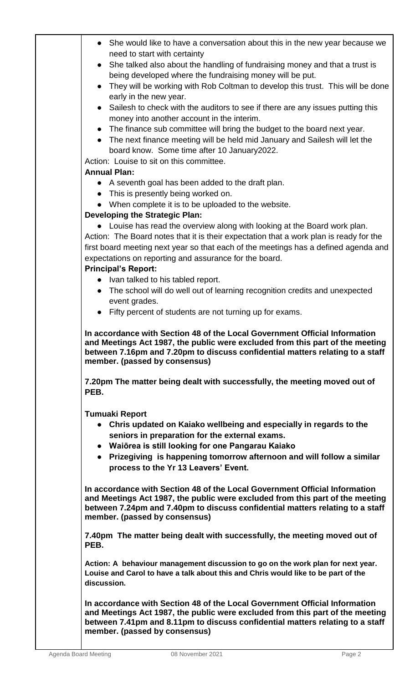|           | She would like to have a conversation about this in the new year because we                                                                                                         |
|-----------|-------------------------------------------------------------------------------------------------------------------------------------------------------------------------------------|
|           | need to start with certainty                                                                                                                                                        |
|           | • She talked also about the handling of fundraising money and that a trust is                                                                                                       |
|           | being developed where the fundraising money will be put.                                                                                                                            |
| $\bullet$ | They will be working with Rob Coltman to develop this trust. This will be done                                                                                                      |
|           | early in the new year.                                                                                                                                                              |
|           | • Sailesh to check with the auditors to see if there are any issues putting this                                                                                                    |
|           | money into another account in the interim.                                                                                                                                          |
|           | The finance sub committee will bring the budget to the board next year.                                                                                                             |
|           | • The next finance meeting will be held mid January and Sailesh will let the                                                                                                        |
|           | board know. Some time after 10 January2022.                                                                                                                                         |
|           | Action: Louise to sit on this committee.                                                                                                                                            |
|           | <b>Annual Plan:</b>                                                                                                                                                                 |
|           |                                                                                                                                                                                     |
|           | • A seventh goal has been added to the draft plan.                                                                                                                                  |
|           | This is presently being worked on.                                                                                                                                                  |
| $\bullet$ | When complete it is to be uploaded to the website.                                                                                                                                  |
|           | <b>Developing the Strategic Plan:</b>                                                                                                                                               |
|           | • Louise has read the overview along with looking at the Board work plan.                                                                                                           |
|           | Action: The Board notes that it is their expectation that a work plan is ready for the                                                                                              |
|           | first board meeting next year so that each of the meetings has a defined agenda and                                                                                                 |
|           | expectations on reporting and assurance for the board.                                                                                                                              |
|           | <b>Principal's Report:</b>                                                                                                                                                          |
|           | • Ivan talked to his tabled report.                                                                                                                                                 |
|           | • The school will do well out of learning recognition credits and unexpected                                                                                                        |
|           | event grades.                                                                                                                                                                       |
|           | • Fifty percent of students are not turning up for exams.                                                                                                                           |
| PEB.      | 7.20pm The matter being dealt with successfully, the meeting moved out of                                                                                                           |
|           | <b>Tumuaki Report</b>                                                                                                                                                               |
|           | Chris updated on Kaiako wellbeing and especially in regards to the                                                                                                                  |
|           | seniors in preparation for the external exams.                                                                                                                                      |
|           | • Waiōrea is still looking for one Pangarau Kaiako                                                                                                                                  |
|           | • Prizegiving is happening tomorrow afternoon and will follow a similar                                                                                                             |
|           | process to the Yr 13 Leavers' Event.                                                                                                                                                |
|           | In accordance with Section 48 of the Local Government Official Information<br>and Meetings Act 1987, the public were excluded from this part of the meeting                         |
|           | between 7.24pm and 7.40pm to discuss confidential matters relating to a staff<br>member. (passed by consensus)                                                                      |
|           | 7.40pm The matter being dealt with successfully, the meeting moved out of                                                                                                           |
| PEB.      | Action: A behaviour management discussion to go on the work plan for next year.<br>Louise and Carol to have a talk about this and Chris would like to be part of the<br>discussion. |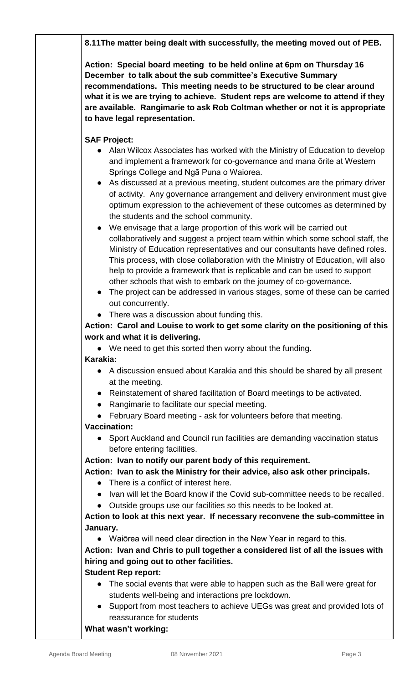**8.11The matter being dealt with successfully, the meeting moved out of PEB.**

**Action: Special board meeting to be held online at 6pm on Thursday 16 December to talk about the sub committee's Executive Summary recommendations. This meeting needs to be structured to be clear around what it is we are trying to achieve. Student reps are welcome to attend if they are available. Rangimarie to ask Rob Coltman whether or not it is appropriate to have legal representation.**

## **SAF Project:**

- Alan Wilcox Associates has worked with the Ministry of Education to develop and implement a framework for co-governance and mana ōrite at Western Springs College and Ngā Puna o Waiorea.
- As discussed at a previous meeting, student outcomes are the primary driver of activity. Any governance arrangement and delivery environment must give optimum expression to the achievement of these outcomes as determined by the students and the school community.
- We envisage that a large proportion of this work will be carried out collaboratively and suggest a project team within which some school staff, the Ministry of Education representatives and our consultants have defined roles. This process, with close collaboration with the Ministry of Education, will also help to provide a framework that is replicable and can be used to support other schools that wish to embark on the journey of co-governance.
- The project can be addressed in various stages, some of these can be carried out concurrently.
- There was a discussion about funding this.

### **Action: Carol and Louise to work to get some clarity on the positioning of this work and what it is delivering.**

- We need to get this sorted then worry about the funding. **Karakia:**
	- A discussion ensued about Karakia and this should be shared by all present at the meeting.
	- Reinstatement of shared facilitation of Board meetings to be activated.
	- Rangimarie to facilitate our special meeting.
	- February Board meeting ask for volunteers before that meeting.

#### **Vaccination:**

● Sport Auckland and Council run facilities are demanding vaccination status before entering facilities.

#### **Action: Ivan to notify our parent body of this requirement.**

#### **Action: Ivan to ask the Ministry for their advice, also ask other principals.**

- There is a conflict of interest here.
- Ivan will let the Board know if the Covid sub-committee needs to be recalled.
- Outside groups use our facilities so this needs to be looked at.

#### **Action to look at this next year. If necessary reconvene the sub-committee in January.**

● Waiōrea will need clear direction in the New Year in regard to this.

**Action: Ivan and Chris to pull together a considered list of all the issues with hiring and going out to other facilities.**

#### **Student Rep report:**

- The social events that were able to happen such as the Ball were great for students well-being and interactions pre lockdown.
- Support from most teachers to achieve UEGs was great and provided lots of reassurance for students

#### **What wasn't working:**